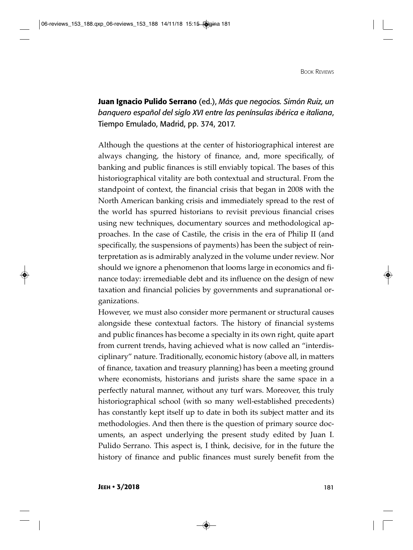**Juan Ignacio Pulido Serrano** (ed.), *Más que negocios. Simón Ruiz, un banquero español del siglo XVI entre las penínsulas ibérica e italiana*, Tiempo Emulado, Madrid, pp. 374, 2017.

Although the questions at the center of historiographical interest are always changing, the history of finance, and, more specifically, of banking and public finances is still enviably topical. The bases of this historiographical vitality are both contextual and structural. From the standpoint of context, the financial crisis that began in 2008 with the North American banking crisis and immediately spread to the rest of the world has spurred historians to revisit previous financial crises using new techniques, documentary sources and methodological approaches. In the case of Castile, the crisis in the era of Philip II (and specifically, the suspensions of payments) has been the subject of reinterpretation as is admirably analyzed in the volume under review. Nor should we ignore a phenomenon that looms large in economics and finance today: irremediable debt and its influence on the design of new taxation and financial policies by governments and supranational organizations.

However, we must also consider more permanent or structural causes alongside these contextual factors. The history of financial systems and public finances has become a specialty in its own right, quite apart from current trends, having achieved what is now called an "interdisciplinary" nature. Traditionally, economic history (above all, in matters of finance, taxation and treasury planning) has been a meeting ground where economists, historians and jurists share the same space in a perfectly natural manner, without any turf wars. Moreover, this truly historiographical school (with so many well-established precedents) has constantly kept itself up to date in both its subject matter and its methodologies. And then there is the question of primary source documents, an aspect underlying the present study edited by Juan I. Pulido Serrano. This aspect is, I think, decisive, for in the future the history of finance and public finances must surely benefit from the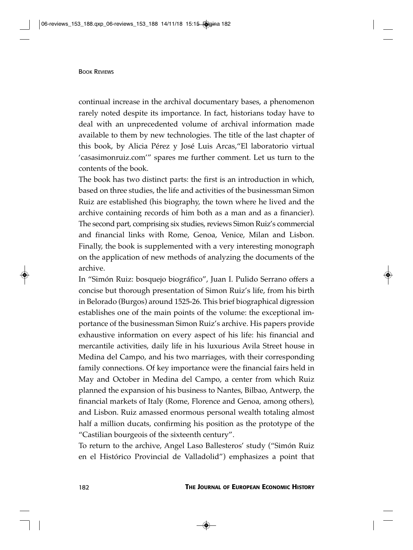continual increase in the archival documentary bases, a phenomenon rarely noted despite its importance. In fact, historians today have to deal with an unprecedented volume of archival information made available to them by new technologies. The title of the last chapter of this book, by Alicia Pérez y José Luis Arcas,"El laboratorio virtual 'casasimonruiz.com'" spares me further comment. Let us turn to the contents of the book.

The book has two distinct parts: the first is an introduction in which, based on three studies, the life and activities of the businessman Simon Ruiz are established (his biography, the town where he lived and the archive containing records of him both as a man and as a financier). The second part, comprising six studies, reviews Simon Ruiz's commercial and financial links with Rome, Genoa, Venice, Milan and Lisbon. Finally, the book is supplemented with a very interesting monograph on the application of new methods of analyzing the documents of the archive.

In "Simón Ruiz: bosquejo biográfico", Juan I. Pulido Serrano offers a concise but thorough presentation of Simon Ruiz's life, from his birth in Belorado (Burgos) around 1525-26. This brief biographical digression establishes one of the main points of the volume: the exceptional importance of the businessman Simon Ruiz's archive. His papers provide exhaustive information on every aspect of his life: his financial and mercantile activities, daily life in his luxurious Avila Street house in Medina del Campo, and his two marriages, with their corresponding family connections. Of key importance were the financial fairs held in May and October in Medina del Campo, a center from which Ruiz planned the expansion of his business to Nantes, Bilbao, Antwerp, the financial markets of Italy (Rome, Florence and Genoa, among others), and Lisbon. Ruiz amassed enormous personal wealth totaling almost half a million ducats, confirming his position as the prototype of the "Castilian bourgeois of the sixteenth century".

To return to the archive, Angel Laso Ballesteros' study ("Simón Ruiz en el Histórico Provincial de Valladolid") emphasizes a point that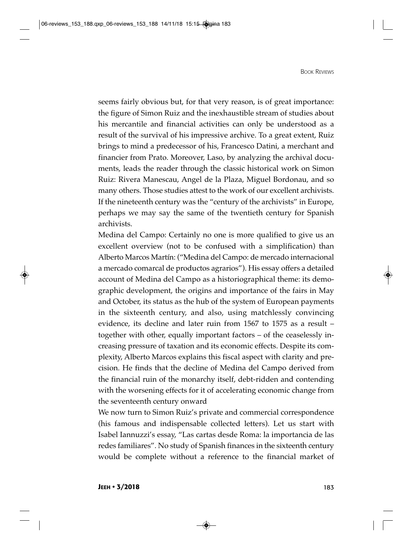seems fairly obvious but, for that very reason, is of great importance: the figure of Simon Ruiz and the inexhaustible stream of studies about his mercantile and financial activities can only be understood as a result of the survival of his impressive archive. To a great extent, Ruiz brings to mind a predecessor of his, Francesco Datini, a merchant and financier from Prato. Moreover, Laso, by analyzing the archival documents, leads the reader through the classic historical work on Simon Ruiz: Rivera Manescau, Angel de la Plaza, Miguel Bordonau, and so many others. Those studies attest to the work of our excellent archivists. If the nineteenth century was the "century of the archivists" in Europe, perhaps we may say the same of the twentieth century for Spanish archivists.

Medina del Campo: Certainly no one is more qualified to give us an excellent overview (not to be confused with a simplification) than Alberto Marcos Martín: ("Medina del Campo: de mercado internacional a mercado comarcal de productos agrarios"). His essay offers a detailed account of Medina del Campo as a historiographical theme: its demographic development, the origins and importance of the fairs in May and October, its status as the hub of the system of European payments in the sixteenth century, and also, using matchlessly convincing evidence, its decline and later ruin from 1567 to 1575 as a result – together with other, equally important factors – of the ceaselessly increasing pressure of taxation and its economic effects. Despite its complexity, Alberto Marcos explains this fiscal aspect with clarity and precision. He finds that the decline of Medina del Campo derived from the financial ruin of the monarchy itself, debt-ridden and contending with the worsening effects for it of accelerating economic change from the seventeenth century onward

We now turn to Simon Ruiz's private and commercial correspondence (his famous and indispensable collected letters). Let us start with Isabel Iannuzzi's essay, "Las cartas desde Roma: la importancia de las redes familiares". No study of Spanish finances in the sixteenth century would be complete without a reference to the financial market of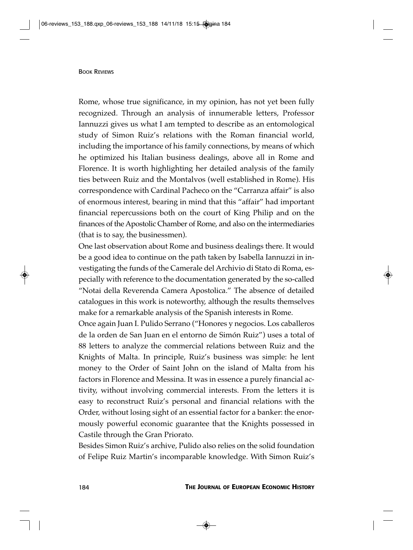Rome, whose true significance, in my opinion, has not yet been fully recognized. Through an analysis of innumerable letters, Professor Iannuzzi gives us what I am tempted to describe as an entomological study of Simon Ruiz's relations with the Roman financial world, including the importance of his family connections, by means of which he optimized his Italian business dealings, above all in Rome and Florence. It is worth highlighting her detailed analysis of the family ties between Ruiz and the Montalvos (well established in Rome). His correspondence with Cardinal Pacheco on the "Carranza affair" is also of enormous interest, bearing in mind that this "affair" had important financial repercussions both on the court of King Philip and on the finances of the Apostolic Chamber of Rome, and also on the intermediaries (that is to say, the businessmen).

One last observation about Rome and business dealings there. It would be a good idea to continue on the path taken by Isabella Iannuzzi in investigating the funds of the Camerale del Archivio di Stato di Roma, especially with reference to the documentation generated by the so-called "Notai della Reverenda Camera Apostolica." The absence of detailed catalogues in this work is noteworthy, although the results themselves make for a remarkable analysis of the Spanish interests in Rome.

Once again Juan I. Pulido Serrano ("Honores y negocios. Los caballeros de la orden de San Juan en el entorno de Simón Ruiz") uses a total of 88 letters to analyze the commercial relations between Ruiz and the Knights of Malta. In principle, Ruiz's business was simple: he lent money to the Order of Saint John on the island of Malta from his factors in Florence and Messina. It was in essence a purely financial activity, without involving commercial interests. From the letters it is easy to reconstruct Ruiz's personal and financial relations with the Order, without losing sight of an essential factor for a banker: the enormously powerful economic guarantee that the Knights possessed in Castile through the Gran Priorato.

Besides Simon Ruiz's archive, Pulido also relies on the solid foundation of Felipe Ruiz Martin's incomparable knowledge. With Simon Ruiz's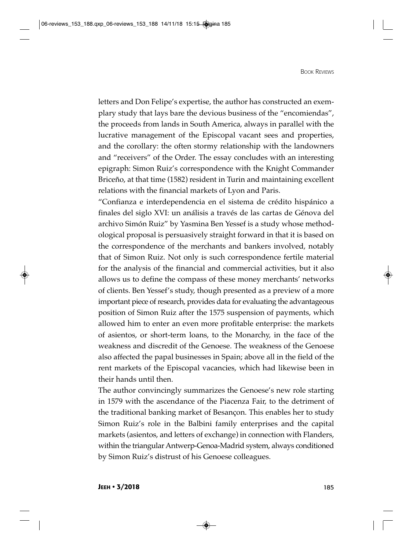letters and Don Felipe's expertise, the author has constructed an exemplary study that lays bare the devious business of the "encomiendas", the proceeds from lands in South America, always in parallel with the lucrative management of the Episcopal vacant sees and properties, and the corollary: the often stormy relationship with the landowners and "receivers" of the Order. The essay concludes with an interesting epigraph: Simon Ruiz's correspondence with the Knight Commander Briceño, at that time (1582) resident in Turin and maintaining excellent relations with the financial markets of Lyon and Paris.

"Confianza e interdependencia en el sistema de crédito hispánico a finales del siglo XVI: un análisis a través de las cartas de Génova del archivo Simón Ruiz" by Yasmina Ben Yessef is a study whose methodological proposal is persuasively straight forward in that it is based on the correspondence of the merchants and bankers involved, notably that of Simon Ruiz. Not only is such correspondence fertile material for the analysis of the financial and commercial activities, but it also allows us to define the compass of these money merchants' networks of clients. Ben Yessef's study, though presented as a preview of a more important piece of research, provides data for evaluating the advantageous position of Simon Ruiz after the 1575 suspension of payments, which allowed him to enter an even more profitable enterprise: the markets of asientos, or short-term loans, to the Monarchy, in the face of the weakness and discredit of the Genoese. The weakness of the Genoese also affected the papal businesses in Spain; above all in the field of the rent markets of the Episcopal vacancies, which had likewise been in their hands until then.

The author convincingly summarizes the Genoese's new role starting in 1579 with the ascendance of the Piacenza Fair, to the detriment of the traditional banking market of Besançon. This enables her to study Simon Ruiz's role in the Balbini family enterprises and the capital markets (asientos, and letters of exchange) in connection with Flanders, within the triangular Antwerp-Genoa-Madrid system, always conditioned by Simon Ruiz's distrust of his Genoese colleagues.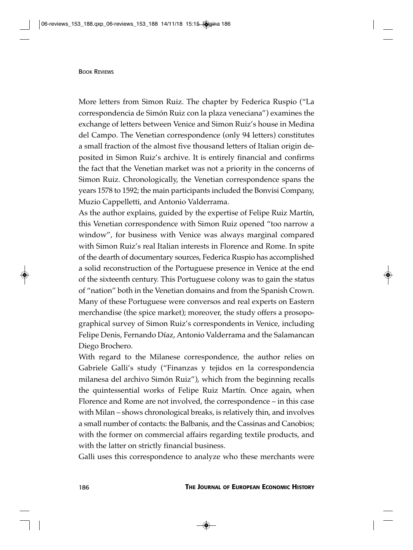More letters from Simon Ruiz. The chapter by Federica Ruspio ("La correspondencia de Simón Ruiz con la plaza veneciana") examines the exchange of letters between Venice and Simon Ruiz's house in Medina del Campo. The Venetian correspondence (only 94 letters) constitutes a small fraction of the almost five thousand letters of Italian origin deposited in Simon Ruiz's archive. It is entirely financial and confirms the fact that the Venetian market was not a priority in the concerns of Simon Ruiz. Chronologically, the Venetian correspondence spans the years 1578 to 1592; the main participants included the Bonvisi Company, Muzio Cappelletti, and Antonio Valderrama.

As the author explains, guided by the expertise of Felipe Ruiz Martín, this Venetian correspondence with Simon Ruiz opened "too narrow a window", for business with Venice was always marginal compared with Simon Ruiz's real Italian interests in Florence and Rome. In spite of the dearth of documentary sources, Federica Ruspio has accomplished a solid reconstruction of the Portuguese presence in Venice at the end of the sixteenth century. This Portuguese colony was to gain the status of "nation" both in the Venetian domains and from the Spanish Crown. Many of these Portuguese were conversos and real experts on Eastern merchandise (the spice market); moreover, the study offers a prosopographical survey of Simon Ruiz's correspondents in Venice, including Felipe Denis, Fernando Díaz, Antonio Valderrama and the Salamancan Diego Brochero.

With regard to the Milanese correspondence, the author relies on Gabriele Galli's study ("Finanzas y tejidos en la correspondencia milanesa del archivo Simón Ruiz"), which from the beginning recalls the quintessential works of Felipe Ruiz Martín. Once again, when Florence and Rome are not involved, the correspondence – in this case with Milan – shows chronological breaks, is relatively thin, and involves a small number of contacts: the Balbanis, and the Cassinas and Canobios; with the former on commercial affairs regarding textile products, and with the latter on strictly financial business.

Galli uses this correspondence to analyze who these merchants were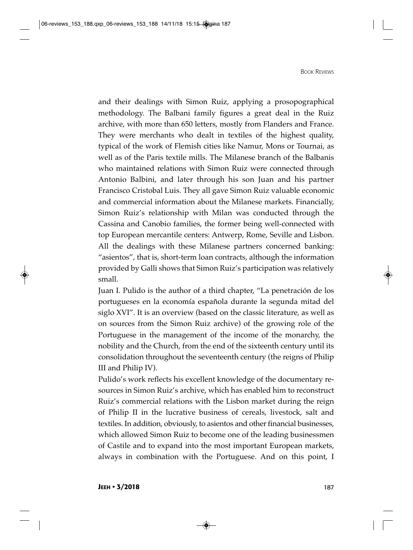and their dealings with Simon Ruiz, applying a prosopographical methodology. The Balbani family figures a great deal in the Ruiz archive, with more than 650 letters, mostly from Flanders and France. They were merchants who dealt in textiles of the highest quality, typical of the work of Flemish cities like Namur, Mons or Tournai, as well as of the Paris textile mills. The Milanese branch of the Balbanis who maintained relations with Simon Ruiz were connected through Antonio Balbini, and later through his son Juan and his partner Francisco Cristobal Luis. They all gave Simon Ruiz valuable economic and commercial information about the Milanese markets. Financially, Simon Ruiz's relationship with Milan was conducted through the Cassina and Canobio families, the former being well-connected with top European mercantile centers: Antwerp, Rome, Seville and Lisbon. All the dealings with these Milanese partners concerned banking: "asientos", that is, short-term loan contracts, although the information provided by Galli shows that Simon Ruiz's participation was relatively small.

Juan I. Pulido is the author of a third chapter, "La penetración de los portugueses en la economía española durante la segunda mitad del siglo XVI". It is an overview (based on the classic literature, as well as on sources from the Simon Ruiz archive) of the growing role of the Portuguese in the management of the income of the monarchy, the nobility and the Church, from the end of the sixteenth century until its consolidation throughout the seventeenth century (the reigns of Philip III and Philip IV).

Pulido's work reflects his excellent knowledge of the documentary resources in Simon Ruiz's archive, which has enabled him to reconstruct Ruiz's commercial relations with the Lisbon market during the reign of Philip II in the lucrative business of cereals, livestock, salt and textiles. In addition, obviously, to asientos and other financial businesses, which allowed Simon Ruiz to become one of the leading businessmen of Castile and to expand into the most important European markets, always in combination with the Portuguese. And on this point, I